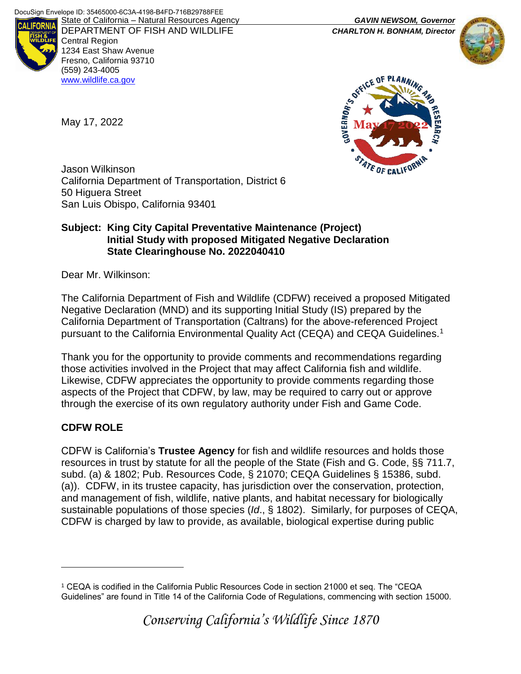

DEPARTMENT OF FISH AND WILDLIFE *CHARLTON H. BONHAM, Director*  Central Region 1234 East Shaw Avenue Fresno, California 93710 (559) 243-4005 [www.wildlife.ca.gov](http://www.cdfw.ca.gov/)





Jason Wilkinson California Department of Transportation, District 6 50 Higuera Street San Luis Obispo, California 93401

## **Subject: King City Capital Preventative Maintenance (Project) Initial Study with proposed Mitigated Negative Declaration State Clearinghouse No. 2022040410**

Dear Mr. Wilkinson:

May 17, 2022

The California Department of Fish and Wildlife (CDFW) received a proposed Mitigated Negative Declaration (MND) and its supporting Initial Study (IS) prepared by the California Department of Transportation (Caltrans) for the above-referenced Project pursuant to the California Environmental Quality Act (CEQA) and CEQA Guidelines.<sup>1</sup>

Thank you for the opportunity to provide comments and recommendations regarding those activities involved in the Project that may affect California fish and wildlife. Likewise, CDFW appreciates the opportunity to provide comments regarding those aspects of the Project that CDFW, by law, may be required to carry out or approve through the exercise of its own regulatory authority under Fish and Game Code.

# **CDFW ROLE**

 $\overline{a}$ 

CDFW is California's **Trustee Agency** for fish and wildlife resources and holds those resources in trust by statute for all the people of the State (Fish and G. Code, §§ 711.7, subd. (a) & 1802; Pub. Resources Code, § 21070; CEQA Guidelines § 15386, subd. (a)). CDFW, in its trustee capacity, has jurisdiction over the conservation, protection, and management of fish, wildlife, native plants, and habitat necessary for biologically sustainable populations of those species (*Id*., § 1802). Similarly, for purposes of CEQA, CDFW is charged by law to provide, as available, biological expertise during public

<sup>1</sup> CEQA is codified in the California Public Resources Code in section 21000 et seq. The "CEQA Guidelines" are found in Title 14 of the California Code of Regulations, commencing with section 15000.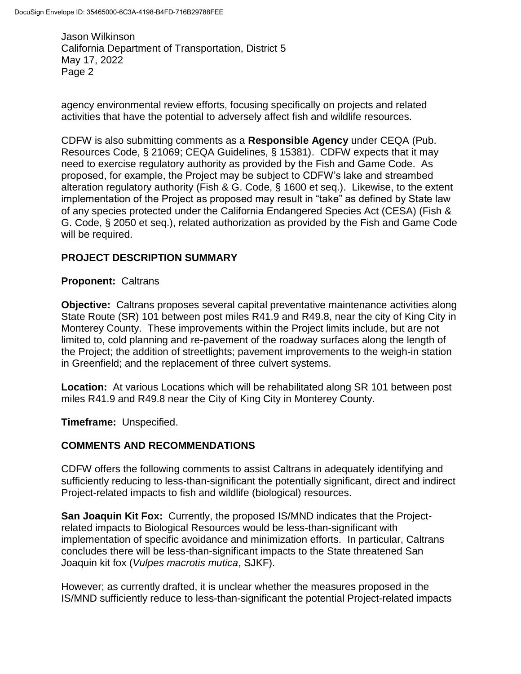agency environmental review efforts, focusing specifically on projects and related activities that have the potential to adversely affect fish and wildlife resources.

CDFW is also submitting comments as a **Responsible Agency** under CEQA (Pub. Resources Code, § 21069; CEQA Guidelines, § 15381). CDFW expects that it may need to exercise regulatory authority as provided by the Fish and Game Code. As proposed, for example, the Project may be subject to CDFW's lake and streambed alteration regulatory authority (Fish & G. Code, § 1600 et seq.). Likewise, to the extent implementation of the Project as proposed may result in "take" as defined by State law of any species protected under the California Endangered Species Act (CESA) (Fish & G. Code, § 2050 et seq.), related authorization as provided by the Fish and Game Code will be required.

# **PROJECT DESCRIPTION SUMMARY**

## **Proponent:** Caltrans

**Objective:** Caltrans proposes several capital preventative maintenance activities along State Route (SR) 101 between post miles R41.9 and R49.8, near the city of King City in Monterey County. These improvements within the Project limits include, but are not limited to, cold planning and re-pavement of the roadway surfaces along the length of the Project; the addition of streetlights; pavement improvements to the weigh-in station in Greenfield; and the replacement of three culvert systems.

**Location:** At various Locations which will be rehabilitated along SR 101 between post miles R41.9 and R49.8 near the City of King City in Monterey County.

**Timeframe:** Unspecified.

## **COMMENTS AND RECOMMENDATIONS**

CDFW offers the following comments to assist Caltrans in adequately identifying and sufficiently reducing to less-than-significant the potentially significant, direct and indirect Project-related impacts to fish and wildlife (biological) resources.

**San Joaquin Kit Fox:** Currently, the proposed IS/MND indicates that the Projectrelated impacts to Biological Resources would be less-than-significant with implementation of specific avoidance and minimization efforts. In particular, Caltrans concludes there will be less-than-significant impacts to the State threatened San Joaquin kit fox (*Vulpes macrotis mutica*, SJKF).

However; as currently drafted, it is unclear whether the measures proposed in the IS/MND sufficiently reduce to less-than-significant the potential Project-related impacts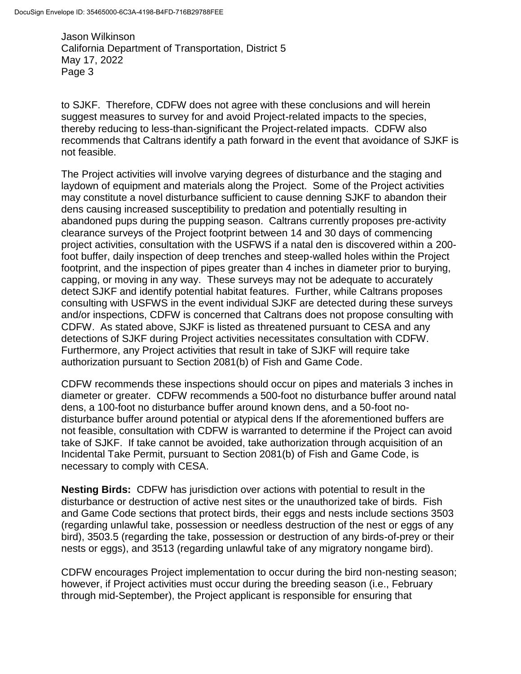to SJKF. Therefore, CDFW does not agree with these conclusions and will herein suggest measures to survey for and avoid Project-related impacts to the species, thereby reducing to less-than-significant the Project-related impacts. CDFW also recommends that Caltrans identify a path forward in the event that avoidance of SJKF is not feasible.

The Project activities will involve varying degrees of disturbance and the staging and laydown of equipment and materials along the Project. Some of the Project activities may constitute a novel disturbance sufficient to cause denning SJKF to abandon their dens causing increased susceptibility to predation and potentially resulting in abandoned pups during the pupping season. Caltrans currently proposes pre-activity clearance surveys of the Project footprint between 14 and 30 days of commencing project activities, consultation with the USFWS if a natal den is discovered within a 200 foot buffer, daily inspection of deep trenches and steep-walled holes within the Project footprint, and the inspection of pipes greater than 4 inches in diameter prior to burying, capping, or moving in any way. These surveys may not be adequate to accurately detect SJKF and identify potential habitat features. Further, while Caltrans proposes consulting with USFWS in the event individual SJKF are detected during these surveys and/or inspections, CDFW is concerned that Caltrans does not propose consulting with CDFW. As stated above, SJKF is listed as threatened pursuant to CESA and any detections of SJKF during Project activities necessitates consultation with CDFW. Furthermore, any Project activities that result in take of SJKF will require take authorization pursuant to Section 2081(b) of Fish and Game Code.

CDFW recommends these inspections should occur on pipes and materials 3 inches in diameter or greater. CDFW recommends a 500-foot no disturbance buffer around natal dens, a 100-foot no disturbance buffer around known dens, and a 50-foot nodisturbance buffer around potential or atypical dens If the aforementioned buffers are not feasible, consultation with CDFW is warranted to determine if the Project can avoid take of SJKF. If take cannot be avoided, take authorization through acquisition of an Incidental Take Permit, pursuant to Section 2081(b) of Fish and Game Code, is necessary to comply with CESA.

**Nesting Birds:** CDFW has jurisdiction over actions with potential to result in the disturbance or destruction of active nest sites or the unauthorized take of birds. Fish and Game Code sections that protect birds, their eggs and nests include sections 3503 (regarding unlawful take, possession or needless destruction of the nest or eggs of any bird), 3503.5 (regarding the take, possession or destruction of any birds-of-prey or their nests or eggs), and 3513 (regarding unlawful take of any migratory nongame bird).

CDFW encourages Project implementation to occur during the bird non-nesting season; however, if Project activities must occur during the breeding season (i.e., February through mid-September), the Project applicant is responsible for ensuring that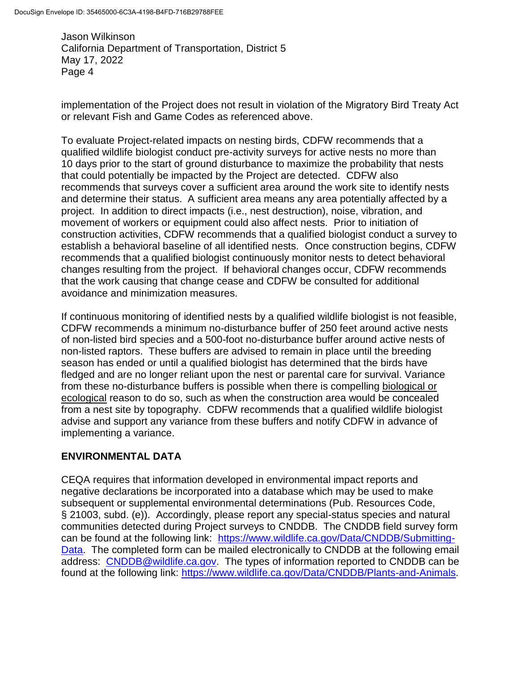implementation of the Project does not result in violation of the Migratory Bird Treaty Act or relevant Fish and Game Codes as referenced above.

To evaluate Project-related impacts on nesting birds, CDFW recommends that a qualified wildlife biologist conduct pre-activity surveys for active nests no more than 10 days prior to the start of ground disturbance to maximize the probability that nests that could potentially be impacted by the Project are detected. CDFW also recommends that surveys cover a sufficient area around the work site to identify nests and determine their status. A sufficient area means any area potentially affected by a project. In addition to direct impacts (i.e., nest destruction), noise, vibration, and movement of workers or equipment could also affect nests. Prior to initiation of construction activities, CDFW recommends that a qualified biologist conduct a survey to establish a behavioral baseline of all identified nests. Once construction begins, CDFW recommends that a qualified biologist continuously monitor nests to detect behavioral changes resulting from the project. If behavioral changes occur, CDFW recommends that the work causing that change cease and CDFW be consulted for additional avoidance and minimization measures.

If continuous monitoring of identified nests by a qualified wildlife biologist is not feasible, CDFW recommends a minimum no-disturbance buffer of 250 feet around active nests of non-listed bird species and a 500-foot no-disturbance buffer around active nests of non-listed raptors. These buffers are advised to remain in place until the breeding season has ended or until a qualified biologist has determined that the birds have fledged and are no longer reliant upon the nest or parental care for survival. Variance from these no-disturbance buffers is possible when there is compelling biological or ecological reason to do so, such as when the construction area would be concealed from a nest site by topography. CDFW recommends that a qualified wildlife biologist advise and support any variance from these buffers and notify CDFW in advance of implementing a variance.

# **ENVIRONMENTAL DATA**

CEQA requires that information developed in environmental impact reports and negative declarations be incorporated into a database which may be used to make subsequent or supplemental environmental determinations (Pub. Resources Code, § 21003, subd. (e)). Accordingly, please report any special-status species and natural communities detected during Project surveys to CNDDB. The CNDDB field survey form can be found at the following link: [https://www.wildlife.ca.gov/Data/CNDDB/Submitting-](https://www.wildlife.ca.gov/Data/CNDDB/Submitting-Data)[Data.](https://www.wildlife.ca.gov/Data/CNDDB/Submitting-Data) The completed form can be mailed electronically to CNDDB at the following email address: [CNDDB@wildlife.ca.gov.](mailto:CNDDB@wildlife.ca.gov) The types of information reported to CNDDB can be found at the following link: [https://www.wildlife.ca.gov/Data/CNDDB/Plants-and-Animals.](https://www.wildlife.ca.gov/Data/CNDDB/Plants-and-Animals)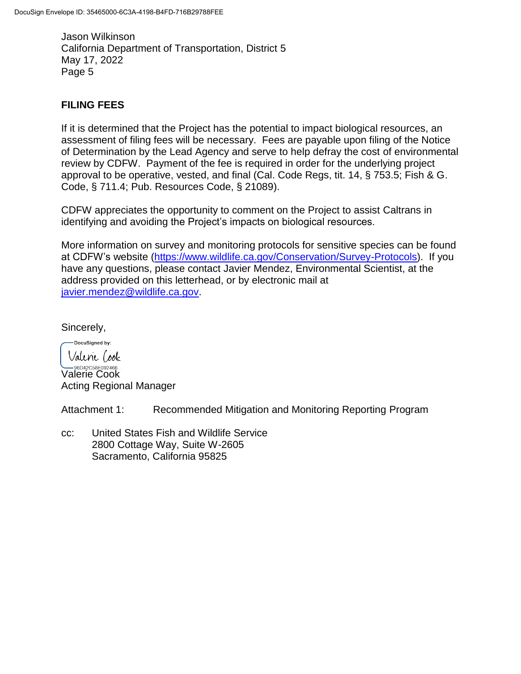# **FILING FEES**

If it is determined that the Project has the potential to impact biological resources, an assessment of filing fees will be necessary. Fees are payable upon filing of the Notice of Determination by the Lead Agency and serve to help defray the cost of environmental review by CDFW. Payment of the fee is required in order for the underlying project approval to be operative, vested, and final (Cal. Code Regs, tit. 14, § 753.5; Fish & G. Code, § 711.4; Pub. Resources Code, § 21089).

CDFW appreciates the opportunity to comment on the Project to assist Caltrans in identifying and avoiding the Project's impacts on biological resources.

More information on survey and monitoring protocols for sensitive species can be found at CDFW's website [\(https://www.wildlife.ca.gov/Conservation/Survey-Protocols\)](https://www.wildlife.ca.gov/Conservation/Survey-Protocols). If you have any questions, please contact Javier Mendez, Environmental Scientist, at the address provided on this letterhead, or by electronic mail at [javier.mendez@wildlife.ca.gov.](mailto:javier.mendez@wildlife.ca.gov)

Sincerely,

DocuSigned by: Valenie Cook

**SEDA2C58E092466...**<br>Valerie Cook Acting Regional Manager

Attachment 1: Recommended Mitigation and Monitoring Reporting Program

cc: United States Fish and Wildlife Service 2800 Cottage Way, Suite W-2605 Sacramento, California 95825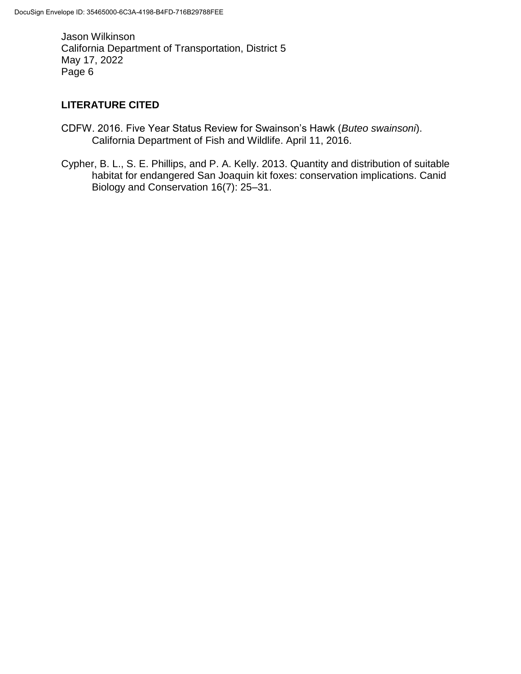# **LITERATURE CITED**

- CDFW. 2016. Five Year Status Review for Swainson's Hawk (*Buteo swainsoni*). California Department of Fish and Wildlife. April 11, 2016.
- Cypher, B. L., S. E. Phillips, and P. A. Kelly. 2013. Quantity and distribution of suitable habitat for endangered San Joaquin kit foxes: conservation implications. Canid Biology and Conservation 16(7): 25–31.